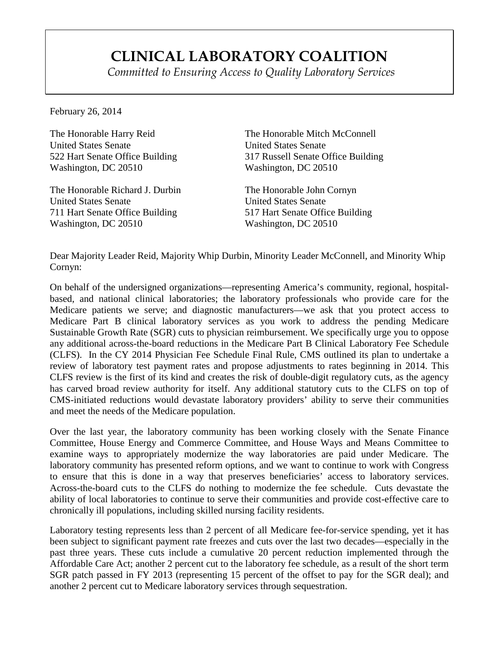## **CLINICAL LABORATORY COALITION**

*Committed to Ensuring Access to Quality Laboratory Services*

February 26, 2014

The Honorable Harry Reid United States Senate 522 Hart Senate Office Building Washington, DC 20510

The Honorable Richard J. Durbin United States Senate 711 Hart Senate Office Building Washington, DC 20510

The Honorable Mitch McConnell United States Senate 317 Russell Senate Office Building Washington, DC 20510

The Honorable John Cornyn United States Senate 517 Hart Senate Office Building Washington, DC 20510

Dear Majority Leader Reid, Majority Whip Durbin, Minority Leader McConnell, and Minority Whip Cornyn:

On behalf of the undersigned organizations—representing America's community, regional, hospitalbased, and national clinical laboratories; the laboratory professionals who provide care for the Medicare patients we serve; and diagnostic manufacturers—we ask that you protect access to Medicare Part B clinical laboratory services as you work to address the pending Medicare Sustainable Growth Rate (SGR) cuts to physician reimbursement. We specifically urge you to oppose any additional across-the-board reductions in the Medicare Part B Clinical Laboratory Fee Schedule (CLFS). In the CY 2014 Physician Fee Schedule Final Rule, CMS outlined its plan to undertake a review of laboratory test payment rates and propose adjustments to rates beginning in 2014. This CLFS review is the first of its kind and creates the risk of double-digit regulatory cuts, as the agency has carved broad review authority for itself. Any additional statutory cuts to the CLFS on top of CMS-initiated reductions would devastate laboratory providers' ability to serve their communities and meet the needs of the Medicare population.

Over the last year, the laboratory community has been working closely with the Senate Finance Committee, House Energy and Commerce Committee, and House Ways and Means Committee to examine ways to appropriately modernize the way laboratories are paid under Medicare. The laboratory community has presented reform options, and we want to continue to work with Congress to ensure that this is done in a way that preserves beneficiaries' access to laboratory services. Across-the-board cuts to the CLFS do nothing to modernize the fee schedule. Cuts devastate the ability of local laboratories to continue to serve their communities and provide cost-effective care to chronically ill populations, including skilled nursing facility residents.

Laboratory testing represents less than 2 percent of all Medicare fee-for-service spending, yet it has been subject to significant payment rate freezes and cuts over the last two decades—especially in the past three years. These cuts include a cumulative 20 percent reduction implemented through the Affordable Care Act; another 2 percent cut to the laboratory fee schedule, as a result of the short term SGR patch passed in FY 2013 (representing 15 percent of the offset to pay for the SGR deal); and another 2 percent cut to Medicare laboratory services through sequestration.